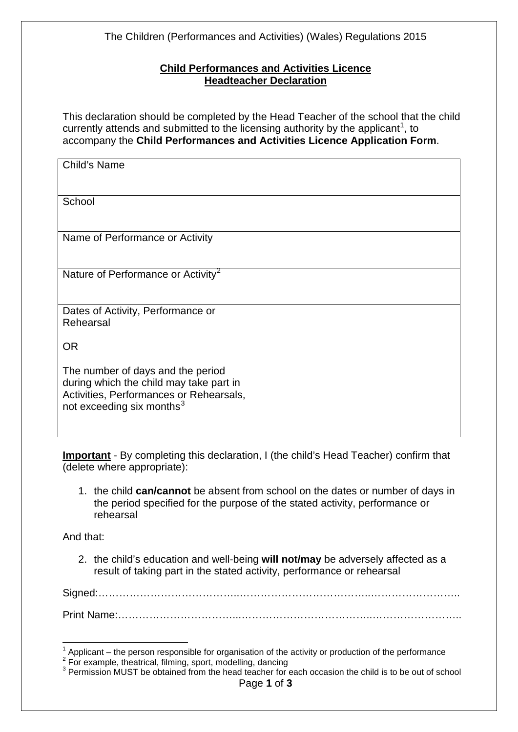The Children (Performances and Activities) (Wales) Regulations 2015

## **Child Performances and Activities Licence Headteacher Declaration**

This declaration should be completed by the Head Teacher of the school that the child currently attends and submitted to the licensing authority by the applicant<sup>[1](#page-0-0)</sup>, to accompany the **Child Performances and Activities Licence Application Form**.

| Child's Name                                                                                                                                                     |  |
|------------------------------------------------------------------------------------------------------------------------------------------------------------------|--|
| School                                                                                                                                                           |  |
| Name of Performance or Activity                                                                                                                                  |  |
| Nature of Performance or Activity <sup>2</sup>                                                                                                                   |  |
| Dates of Activity, Performance or<br>Rehearsal                                                                                                                   |  |
| <b>OR</b>                                                                                                                                                        |  |
| The number of days and the period<br>during which the child may take part in<br>Activities, Performances or Rehearsals,<br>not exceeding six months <sup>3</sup> |  |

**Important** - By completing this declaration, I (the child's Head Teacher) confirm that (delete where appropriate):

1. the child **can/cannot** be absent from school on the dates or number of days in the period specified for the purpose of the stated activity, performance or rehearsal

And that:

2. the child's education and well-being **will not/may** be adversely affected as a result of taking part in the stated activity, performance or rehearsal

Signed:…………………………………..………………………………..…………………….. Print Name:……………………………...………………………………..……………………..

 $\overline{a}$ 

<span id="page-0-2"></span>

<span id="page-0-1"></span><span id="page-0-0"></span><sup>&</sup>lt;sup>1</sup> Applicant – the person responsible for organisation of the activity or production of the performance  $2^2$  For example, theatrical, filming, sport, modelling, dancing<br> $3^3$  Permission MUST be obtained from the head te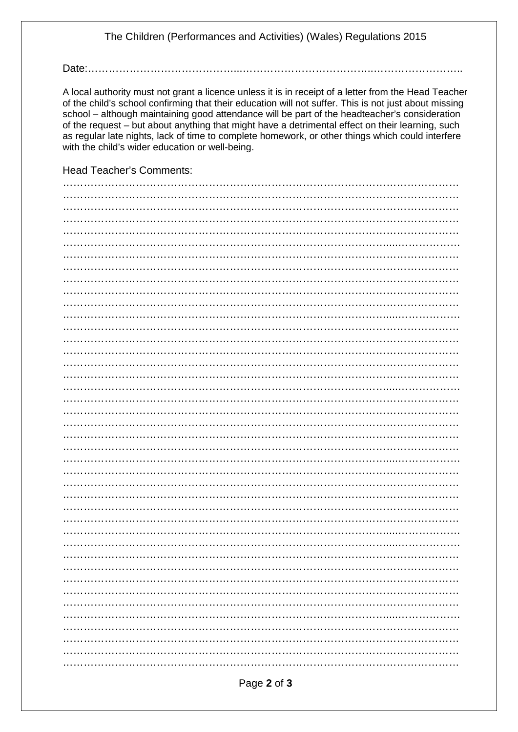## The Children (Performances and Activities) (Wales) Regulations 2015

Date:..............................

A local authority must not grant a licence unless it is in receipt of a letter from the Head Teacher of the child's school confirming that their education will not suffer. This is not just about missing school – although maintaining good attendance will be part of the headteacher's consideration of the request – but about anything that might have a detrimental effect on their learning, such as regular late nights, lack of time to complete homework, or other things which could interfere with the child's wider education or well-being.

**Head Teacher's Comments:**